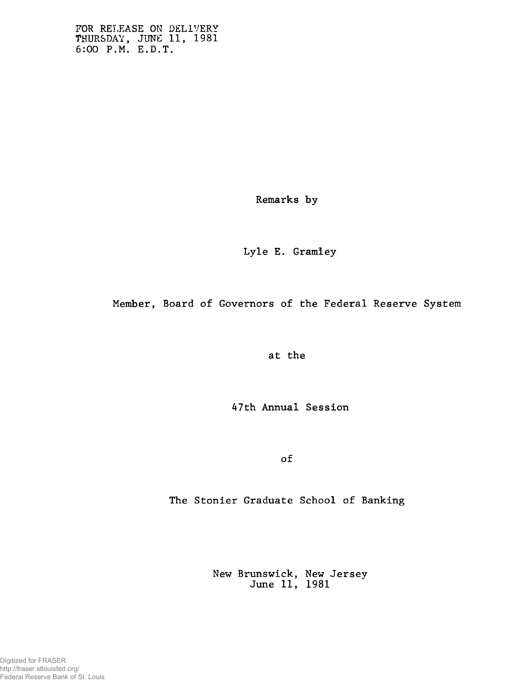FOR RELEASE ON DELIVERY **THURSDAY, JUNE 11, 1981 6:00 P.M. E.D.T.**

**Remarks by**

**Lyle E. Gramiey**

**Member, Board of Governors of the Federal Reserve System**

**at the**

**47th Annual Session**

**of**

**The Stonier Graduate School of Banking**

**New Brunswick, New Jersey June 11, 1981**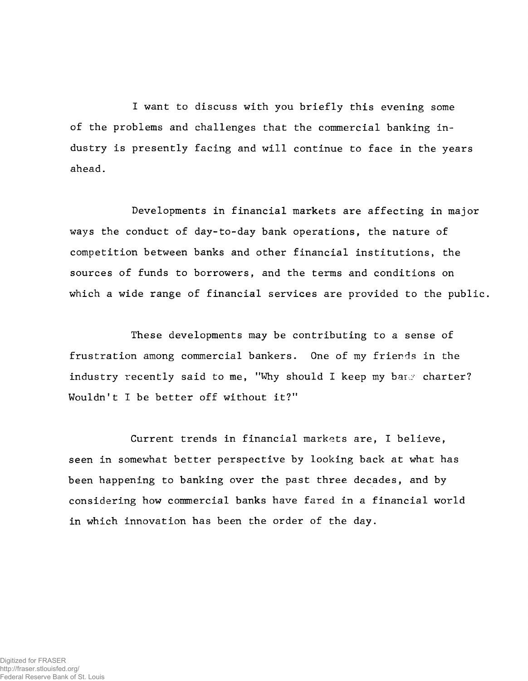**I want to discuss with you briefly this evening some of the problems and challenges that the commercial banking industry is presently facing and will continue to face in the years ahead.**

**Developments in financial markets are affecting in major ways the conduct of day-to-day bank operations, the nature of competition between banks and other financial institutions, the sources of funds to borrowers, and the terms and conditions on which a wide range of financial services are provided to the public.**

**These developments may be contributing to a sense of frustration among commercial bankers. One of my friends in the industry recently said to me, "Why should I keep my bar.v charter? Wouldn't I be better off without it?"**

**Current trends in financial markets are, I believe, seen in somewhat better perspective by looking back at what has been happening to banking over the past three decades, and by considering how commercial banks have fared in a financial world in which innovation has been the order of the day.**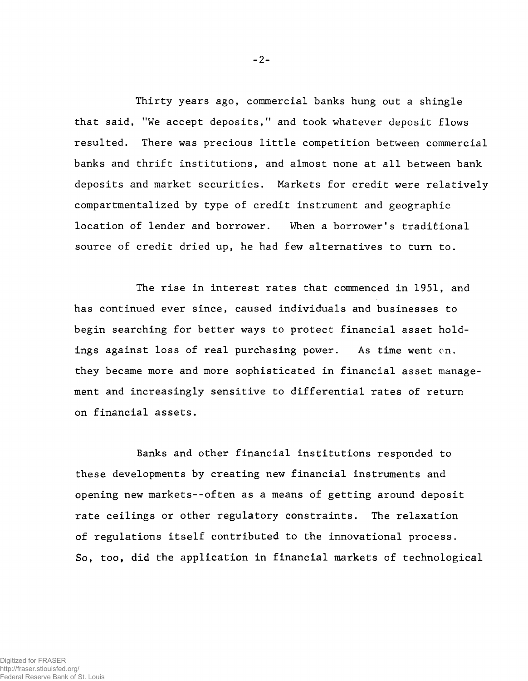**Thirty years ago, commercial banks hung out a shingle that said, "We accept deposits," and took whatever deposit flows resulted. There was precious little competition between commercial banks and thrift institutions, and almost none at all between bank deposits and market securities. Markets for credit were relatively compartmentalized by type of credit instrument and geographic location of lender and borrower. When a borrower's traditional source of credit dried up, he had few alternatives to turn to.**

**The rise in interest rates that commenced in 1951, and has continued ever since, caused individuals and businesses to begin searching for better ways to protect financial asset holdings against loss of real purchasing power. As time went on. they became more and more sophisticated in financial asset management and increasingly sensitive to differential rates of return on financial assets.**

**Banks and other financial institutions responded to these developments by creating new financial instruments and opening new markets--often as a means of getting around deposit rate ceilings or other regulatory constraints. The relaxation of regulations itself contributed to the innovational process. So, too, did the application in financial markets of technological**

**- 2-**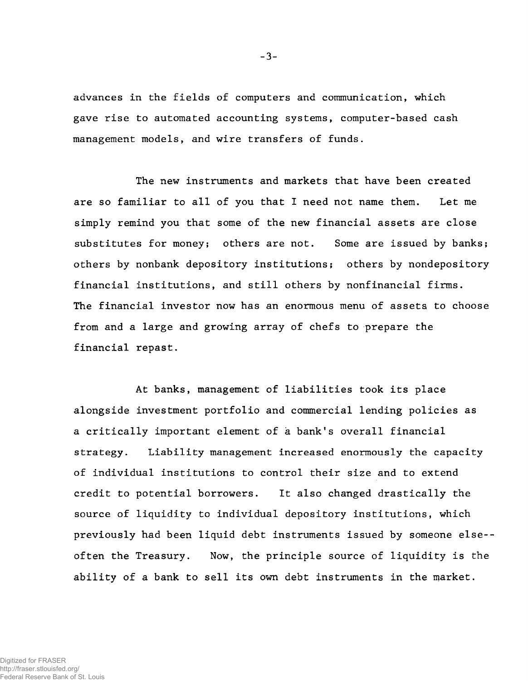**advances in the fields of computers and communication, which gave rise to automated accounting systems, computer-based cash management models, and wire transfers of funds.**

**The new instruments and markets that have been created are so familiar to all of you that I need not name them. Let me simply remind you that some of the new financial assets are close substitutes for money; others are not. Some are issued by banks; others by nonbank depository institutions; others by nondepository financial institutions, and still others by nonfinancial firms. The financial investor now has an enormous menu of assets to choose from and a large and growing array of chefs to prepare the financial repast.**

**At banks, management of liabilities took its place alongside investment portfolio and commercial lending policies as a critically important element of à bank's overall financial strategy. Liability management increased enormously the capacity of individual institutions to control their size and to extend credit to potential borrowers. It also changed drastically the source of liquidity to individual depository institutions, which previously had been liquid debt instruments issued by someone else- often the Treasury. Now, the principle source of liquidity is the ability of a bank to sell its own debt instruments in the market.**

**- 3-**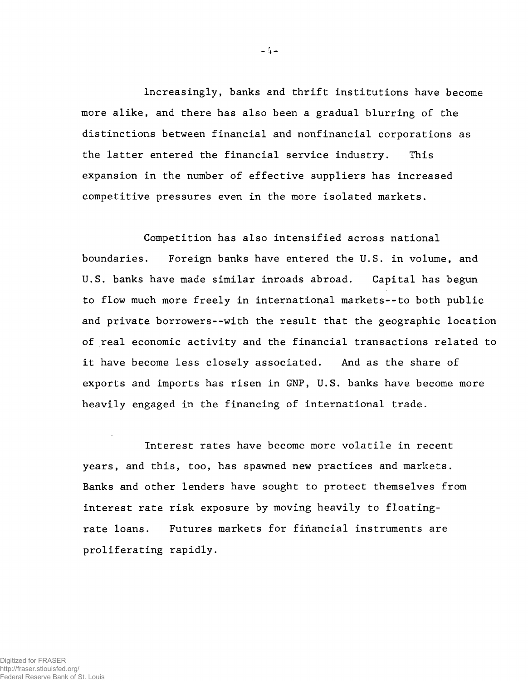**Increasingly, banks and thrift institutions have become more alike, and there has also been a gradual blurring of the distinctions between financial and nonfinancial corporations as the latter entered the financial service industry. This expansion in the number of effective suppliers has increased competitive pressures even in the more isolated markets.**

**Competition has also intensified across national boundaries. Foreign banks have entered the U.S. in volume, and U.S. banks have made similar inroads abroad. Capital has begun to flow much more freely in international markets--to both public and private borrowers--with the result that the geographic location of real economic activity and the financial transactions related to it have become less closely associated. And as the share of exports and imports has risen in GNP, U.S. banks have become more heavily engaged in the financing of international trade.**

**Interest rates have become more volatile in recent years, and this, too, has spawned new practices and markets. Banks and other lenders have sought to protect themselves from interest rate risk exposure by moving heavily to floatingrate loans. Futures markets for financial instruments are proliferating rapidly.**

 $-4-$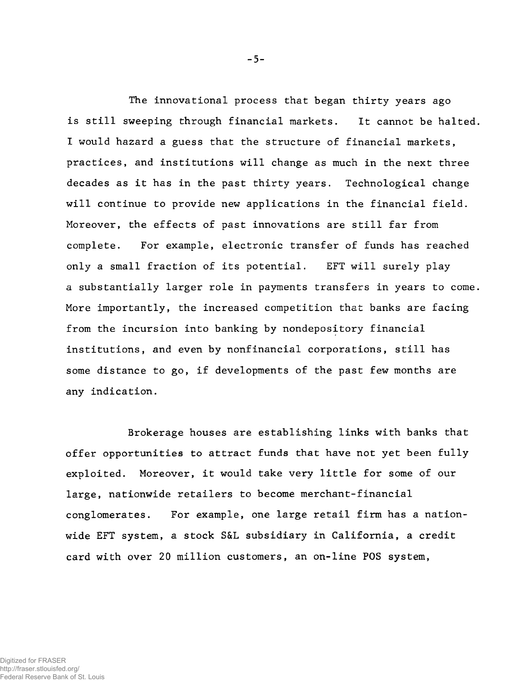**The innovational process that began thirty years ago is still sweeping through financial markets. It cannot be halted. I would hazard a guess that the structure of financial markets, practices, and institutions will change as much in the next three decades as it has in the past thirty years. Technological change will continue to provide new applications in the financial field. Moreover, the effects of past innovations are still far from complete. For example, electronic transfer of funds has reached only a small fraction of its potential. EFT will surely play a substantially larger role in payments transfers in years to come. More importantly, the increased competition that banks are facing from the incursion into banking by nondepository financial institutions, and even by nonfinancial corporations, still has some distance to go, if developments of the past few months are any indication.**

**Brokerage houses are establishing links with banks that offer opportunities to attract funds that have not yet been fully exploited. Moreover, it would take very little for some of our large, nationwide retailers to become merchant-financial conglomerates. For example, one large retail firm has a nationwide EFT system, a stock S&L subsidiary in California, a credit card with over 20 million customers, an on-line POS system,**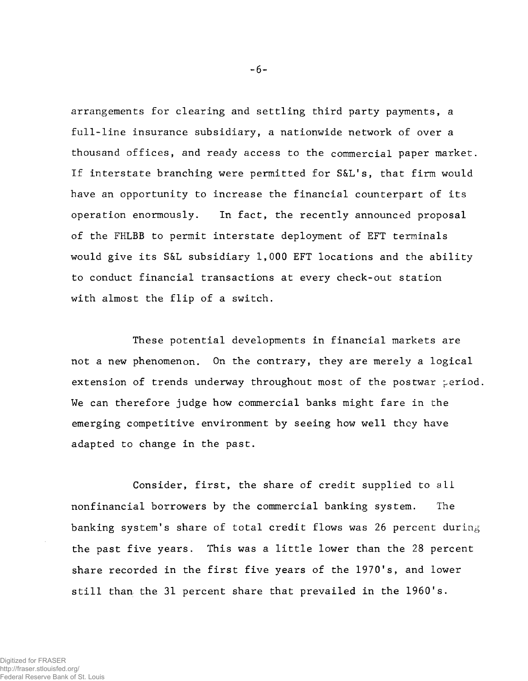**arrangements for clearing and settling third party payments, a full-line insurance subsidiary, a nationwide network of over a thousand offices, and ready access to the commercial paper market. If interstate branching were permitted for S&L's, that firm would have an opportunity to increase the financial counterpart of its operation enormously. In fact, the recently announced proposal of the FHLBB to permit interstate deployment of EFT terminals would give its S&L subsidiary 1,000 EFT locations and the ability to conduct financial transactions at every check-out station with almost the flip of a switch.**

**These potential developments in financial markets are not a new phenomenon. On the contrary, they are merely a logical** extension of trends underway throughout most of the postwar period. **We can therefore judge how commercial banks might fare in the emerging competitive environment by seeing how well they have adapted to change in the past.**

**Consider, first, the share of credit supplied to all nonfinancial borrowers by the commercial banking system. The banking system's share of total credit flows was 26 percent during the past five years. This was a little lower than the 28 percent share recorded in the first five years of the 1970's, and lower still than the 31 percent share that prevailed in the I960's.**

**- 6-**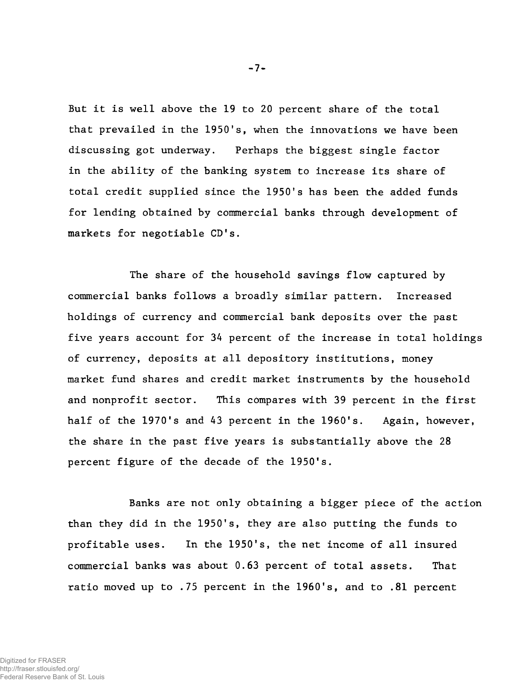**But it is well above the 19 to 20 percent share of the total that prevailed in the 1950's, when the innovations we have been discussing got underway. Perhaps the biggest single factor in the ability of the banking system to increase its share of total credit supplied since the 1950's has been the added funds for lending obtained by commercial banks through development of markets for negotiable CD's.**

**The share of the household savings flow captured by commercial banks follows a broadly similar pattern. Increased holdings of currency and commercial bank deposits over the past five years account for 34 percent of the increase in total holdings of currency, deposits at all depository institutions, money market fund shares and credit market instruments by the household and nonprofit sector. This compares with 39 percent in the first half of the 1970's and 43 percent in the I960's. Again, however, the share in the past five years is substantially above the 28 percent figure of the decade of the 1950's.**

**Banks are not only obtaining a bigger piece of the action than they did in the 1950's, they are also putting the funds to profitable uses. In the 1950's, the net income of all insured commercial banks was about 0.63 percent of total assets. That ratio moved up to .75 percent in the 1960's, and to .81 percent**

**- 7-**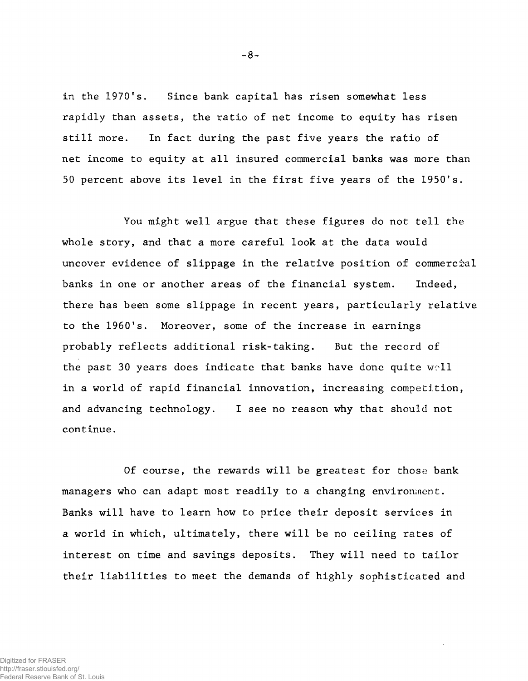**in the 1970's. Since bank capital has risen somewhat less rapidly than assets, the ratio of net income to equity has risen still more. In fact during the past five years the ratio of net income to equity at all insured commercial banks was more than 50 percent above its level in the first five years of the 1950's.**

**You might well argue that these figures do not tell the whole story, and that a more careful look at the data would uncover evidence of slippage in the relative position of commercial banks in one or another areas of the financial system. Indeed, there has been some slippage in recent years, particularly relative to the I960's. Moreover, some of the increase in earnings probably reflects additional risk-taking. But the record of the past 30 years does indicate that banks have done quite woll in a world of rapid financial innovation, increasing competition, and advancing technology. I see no reason why that should not continue.**

**Of course, the rewards will be greatest for those bank managers who can adapt most readily to a changing environment. Banks will have to learn how to price their deposit services in a world in which, ultimately, there will be no ceiling rates of interest on time and savings deposits. They will need to tailor their liabilities to meet the demands of highly sophisticated and**

**- 8-**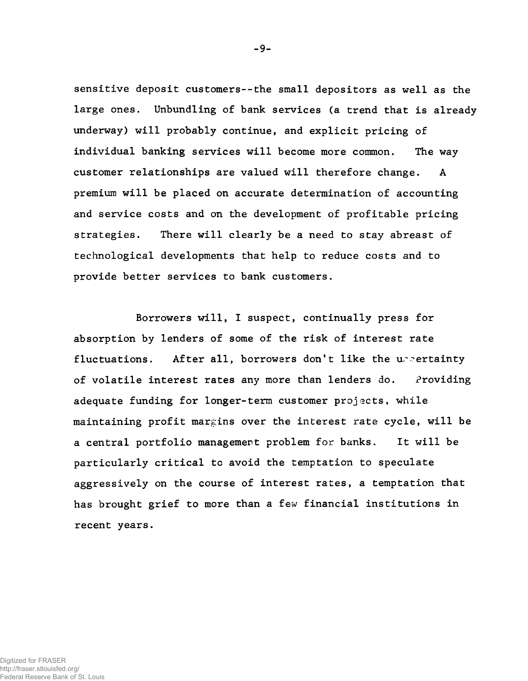**sensitive deposit customers--the small depositors as well as the large ones. Unbundling of bank services (a trend that is already underway) will probably continue, and explicit pricing of individual banking services will become more common. The way customer relationships are valued will therefore change. A premium will be placed on accurate determination of accounting and service costs and on the development of profitable pricing strategies. There will clearly be a need to stay abreast of technological developments that help to reduce costs and to provide better services to bank customers.**

**Borrowers will, I suspect, continually press for absorption by lenders of some of the risk of interest rate fluctuations. After all, borrowers don't like the ur-ertainty** of volatile interest rates any more than lenders do. Providing **adequate funding for longer-term customer projects, while maintaining profit margins over the interest rate cycle, will be a central portfolio management problem for banks. It will be particularly critical to avoid the temptation to speculate aggressively on the course of interest rates, a temptation that has brought grief to more than a** *few* **financial institutions in recent years.**

**- 9-**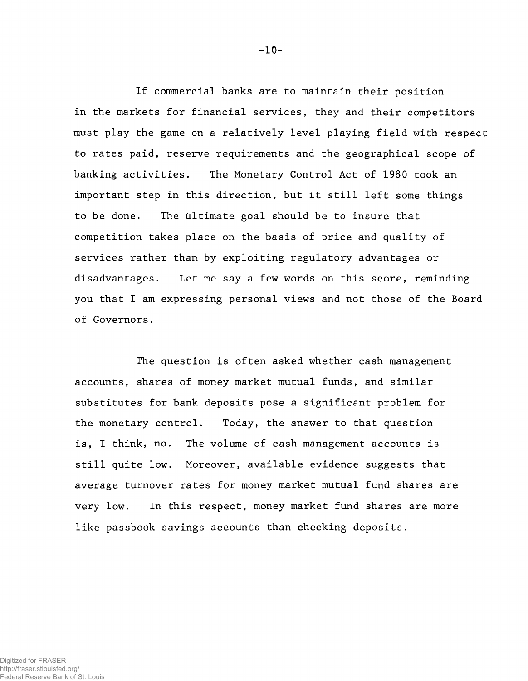**If commercial banks are to maintain their position in the markets for financial services, they and their competitors must play the game on a relatively level playing field with respect to rates paid, reserve requirements and the geographical scope of banking activities. The Monetary Control Act of 1980 took an important step in this direction, but it still left some things to be done. The ultimate goal should be to insure that competition takes place on the basis of price and quality of services rather than by exploiting regulatory advantages or disadvantages. Let me say a few words on this score, reminding you that I am expressing personal views and not those of the Board of Governors.**

**The question is often asked whether cash management accounts, shares of money market mutual funds, and similar substitutes for bank deposits pose a significant problem for the monetary control. Today, the answer to that question is, I think, no. The volume of cash management accounts is still quite low. Moreover, available evidence suggests that average turnover rates for money market mutual fund shares are very low. In this respect, money market fund shares are more like passbook savings accounts than checking deposits.**

**- 10-**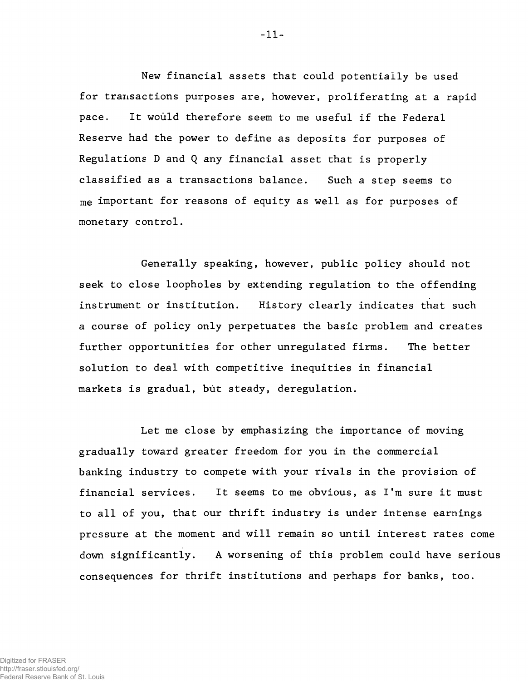**New financial assets that could potentially be used for transactions purposes are, however, proliferating at a rapid pace. It would therefore seem to me useful if the Federal Reserve had the power to define as deposits for purposes of Regulations D and Q any financial asset that is properly classified as a transactions balance. Such a step seems to me important for reasons of equity as well as for purposes of monetary control.**

**Generally speaking, however, public policy should not seek to close loopholes by extending regulation to the offending instrument or institution. History clearly indicates that such a course of policy only perpetuates the basic problem and creates further opportunities for other unregulated firms. The better solution to deal with competitive inequities in financial markets is gradual, but steady, deregulation.**

**Let me close by emphasizing the importance of moving gradually toward greater freedom for you in the commercial banking industry to compete with your rivals in the provision of financial services. It seems to me obvious, as I'm sure it must to all of you, that our thrift industry is under intense earnings pressure at the moment and will remain so until interest rates come down significantly. A worsening of this problem could have serious consequences for thrift institutions and perhaps for banks, too.**